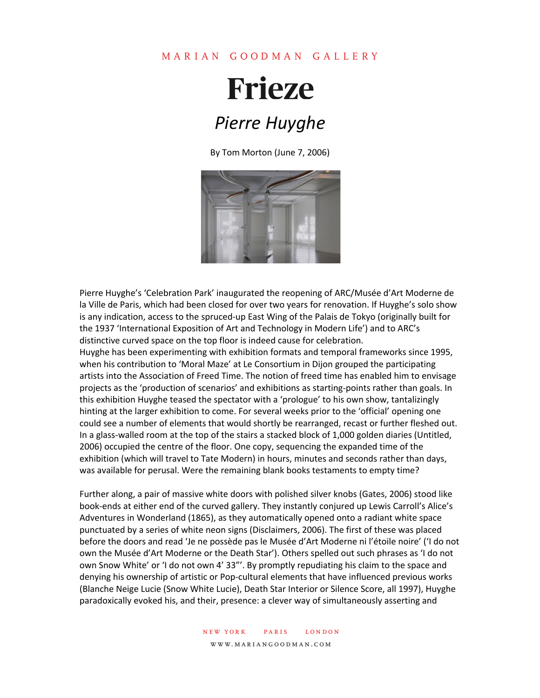## MARIAN GOODMAN GALLERY

## **Frieze** *Pierre Huyghe*

By Tom Morton (June 7, 2006)



Pierre Huyghe's 'Celebration Park' inaugurated the reopening of ARC/Musée d'Art Moderne de la Ville de Paris, which had been closed for over two years for renovation. If Huyghe's solo show is any indication, access to the spruced-up East Wing of the Palais de Tokyo (originally built for the 1937 'International Exposition of Art and Technology in Modern Life') and to ARC's distinctive curved space on the top floor is indeed cause for celebration.

Huyghe has been experimenting with exhibition formats and temporal frameworks since 1995, when his contribution to 'Moral Maze' at Le Consortium in Dijon grouped the participating artists into the Association of Freed Time. The notion of freed time has enabled him to envisage projects as the 'production of scenarios' and exhibitions as starting-points rather than goals. In this exhibition Huyghe teased the spectator with a 'prologue' to his own show, tantalizingly hinting at the larger exhibition to come. For several weeks prior to the 'official' opening one could see a number of elements that would shortly be rearranged, recast or further fleshed out. In a glass-walled room at the top of the stairs a stacked block of 1,000 golden diaries (Untitled, 2006) occupied the centre of the floor. One copy, sequencing the expanded time of the exhibition (which will travel to Tate Modern) in hours, minutes and seconds rather than days, was available for perusal. Were the remaining blank books testaments to empty time?

Further along, a pair of massive white doors with polished silver knobs (Gates, 2006) stood like book-ends at either end of the curved gallery. They instantly conjured up Lewis Carroll's Alice's Adventures in Wonderland (1865), as they automatically opened onto a radiant white space punctuated by a series of white neon signs (Disclaimers, 2006). The first of these was placed before the doors and read 'Je ne possède pas le Musée d'Art Moderne ni l'étoile noire' ('I do not own the Musée d'Art Moderne or the Death Star'). Others spelled out such phrases as 'I do not own Snow White' or 'I do not own 4' 33"'. By promptly repudiating his claim to the space and denying his ownership of artistic or Pop-cultural elements that have influenced previous works (Blanche Neige Lucie (Snow White Lucie), Death Star Interior or Silence Score, all 1997), Huyghe paradoxically evoked his, and their, presence: a clever way of simultaneously asserting and

> new york paris london www.mariangoodman.com